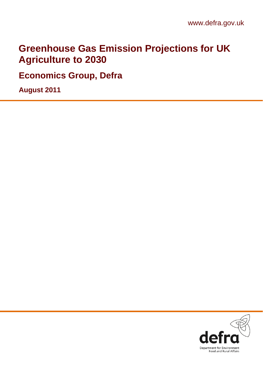# **Greenhouse Gas Emission Projections for UK Agriculture to 2030**

**Economics Group, Defra** 

**August 2011**

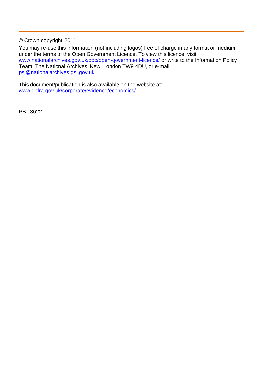© Crown copyright 2011

You may re-use this information (not including logos) free of charge in any format or medium, under the terms of the Open Government Licence. To view this licence, visit [www.nationalarchives.gov.uk/doc/open-government-licence/](http://www.nationalarchives.gov.uk/doc/open-government-licence/) or write to the Information Policy Team, The National Archives, Kew, London TW9 4DU, or e-mail: [psi@nationalarchives.gsi.gov.uk](mailto:psi@nationalarchives.gsi.gov.uk)

This document/publication is also available on the website at: [www.defra.gov.uk/corporate/evidence/economics/](http://www.defra.gov.uk/corporate/evidence/economics/)

PB 13622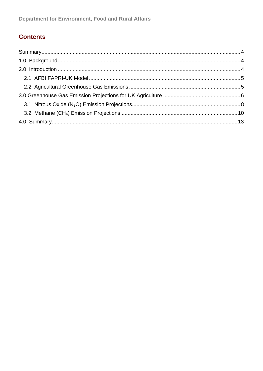### **Contents**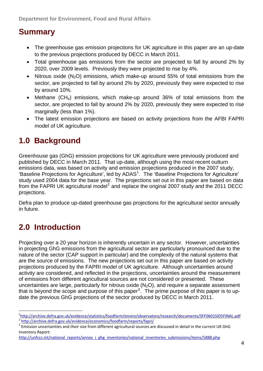# <span id="page-3-0"></span>**Summary**

- The greenhouse gas emission projections for UK agriculture in this paper are an up-date to the previous projections produced by DECC in March 2011.
- Total greenhouse gas emissions from the sector are projected to fall by around 2% by 2020, over 2009 levels. Previously they were projected to rise by 4%.
- Nitrous oxide  $(N_2O)$  emissions, which make-up around 55% of total emissions from the sector, are projected to fall by around 2% by 2020, previously they were expected to rise by around 10%.
- Methane  $(CH_4)$  emissions, which make-up around 36% of total emissions from the sector, are projected to fall by around 2% by 2020, previously they were expected to rise marginally (less than 1%).
- The latest emission projections are based on activity projections from the AFBI FAPRI model of UK agriculture.

# **1.0 Background**

Greenhouse gas (GhG) emission projections for UK agriculture were previously produced and published by DECC in March 2011. That up-date, although using the most recent outturn emissions data, was based on activity and emission projections produced in the 2007 study, 'Baseline Projections for Agriculture', led by ADAS<sup>[1](#page-3-1)</sup>. The 'Baseline Projections for Agriculture' study used 2004 data for the base year. The projections set out in this paper are based on data from the FAPRI UK agricultural model<sup>[2](#page-3-2)</sup> and replace the original 2007 study and the 2011 DECC projections.

Defra plan to produce up-dated greenhouse gas projections for the agricultural sector annually in future.

# **2.0 Introduction**

 $\overline{a}$ 

Projecting over a 20 year horizon is inherently uncertain in any sector. However, uncertainties in projecting GhG emissions from the agricultural sector are particularly pronounced due to the nature of the sector (CAP support in particular) and the complexity of the natural systems that are the source of emissions. The new projections set out in this paper are based on activity projections produced by the FAPRI model of UK agriculture. Although uncertainties around activity are considered, and reflected in the projections, uncertainties around the measurement of emissions from different agricultural sources are not considered or presented. These uncertainties are large, particularly for nitrous oxide  $(N<sub>2</sub>O)$ , and require a separate assessment that is beyond the scope and purpose of this paper<sup>[3](#page-3-3)</sup>. The prime purpose of this paper is to update the previous GhG projections of the sector produced by DECC in March 2011.

<span id="page-3-2"></span><span id="page-3-1"></span><sup>&</sup>lt;sup>1</sup>http://archive.defra.gov.uk/evidence/statistics/foodfarm/enviro/observatory/research/documents/SFF0601SID5FINAL.pdf <http://archive.defra.gov.uk/evidence/economics/foodfarm/reports/fapri/>

<span id="page-3-3"></span><sup>&</sup>lt;sup>3</sup> Emission uncertainties and their size from different agricultural sources are discussed in detail in the current UK GhG Inventory Report:

[http://unfccc.int/national\\_reports/annex\\_i\\_ghg\\_inventories/national\\_inventories\\_submissions/items/5888.php](http://unfccc.int/national_reports/annex_i_ghg_inventories/national_inventories_submissions/items/5888.php)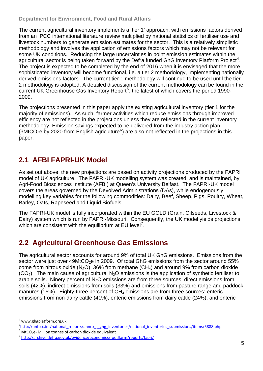<span id="page-4-0"></span>The current agricultural inventory implements a 'tier 1' approach, with emissions factors derived from an IPCC international literature review multiplied by national statistics of fertiliser use and livestock numbers to generate emission estimates for the sector. This is a relatively simplistic methodology and involves the application of emissions factors which may not be relevant for some UK conditions. Reducing the large uncertainties in point emission estimates within the agricultural sector is being taken forward by the Defra funded GhG inventory Platform Project<sup>[4](#page-4-1)</sup>. The project is expected to be completed by the end of 2016 when it is envisaged that the more sophisticated inventory will become functional, i.e. a tier 2 methodology, implementing nationally derived emissions factors. The current tier 1 methodology will continue to be used until the tier 2 methodology is adopted. A detailed discussion of the current methodology can be found in the current UK Greenhouse Gas Inventory Report<sup>[5](#page-4-2)</sup>, the latest of which covers the period 1990-2009.

The projections presented in this paper apply the existing agricultural inventory (tier 1 for the majority of emissions). As such, farmer activities which reduce emissions through improved efficiency are not reflected in the projections unless they are reflected in the current inventory methodology. Emission savings expected to be delivered from the industry action plan  $(3MtCO<sub>2</sub>e$  by 2020 from English agriculture<sup>[6](#page-4-3)</sup>) are also not reflected in the projections in this paper.

## **2.1 AFBI FAPRI-UK Model**

As set out above, the new projections are based on activity projections produced by the FAPRI model of UK agriculture. The FAPRI-UK modelling system was created, and is maintained, by Agri-Food Biosciences Institute (AFBI) at Queen's University Belfast. The FAPRI-UK model covers the areas governed by the Devolved Administrations (DAs), while endogenously modelling key variables for the following commodities: Dairy, Beef, Sheep, Pigs, Poultry, Wheat, Barley, Oats, Rapeseed and Liquid Biofuels.

The FAPRI-UK model is fully incorporated within the EU GOLD (Grain, Oilseeds, Livestock & Dairy) system which is run by FAPRI-Missouri. Consequently, the UK model yields projections which are consistent with the equilibrium at EU level<sup>[7](#page-4-4)</sup>.

### **2.2 Agricultural Greenhouse Gas Emissions**

The agricultural sector accounts for around 9% of total UK GhG emissions. Emissions from the sector were just over  $49MtCO<sub>2</sub>e$  in 2009. Of total GhG emissions from the sector around 55% come from nitrous oxide (N<sub>2</sub>O), 36% from methane (CH<sub>4</sub>) and around 9% from carbon dioxide  $(CO<sub>2</sub>)$ . The main cause of agricultural N<sub>2</sub>O emissions is the application of synthetic fertiliser to arable soils. Ninety percent of  $N<sub>2</sub>O$  emissions are from three sources: direct emissions from soils (42%), indirect emissions from soils (33%) and emissions from pasture range and paddock manures (15%). Eighty-three percent of  $CH<sub>4</sub>$  emissions are from three sources: enteric emissions from non-dairy cattle (41%), enteric emissions from dairy cattle (24%), and enteric

<span id="page-4-1"></span><sup>4</sup> www.ghgplatform.org.uk

<span id="page-4-2"></span><sup>&</sup>lt;sup>5</sup>[http://unfccc.int/national\\_reports/annex\\_i\\_ghg\\_inventories/national\\_inventories\\_submissions/items/5888.php](http://unfccc.int/national_reports/annex_i_ghg_inventories/national_inventories_submissions/items/5888.php)<br><sup>6</sup> MtCO<sub>2</sub>e- Million tonnes of carbon dioxide equivalent<br><sup>7</sup> http://archive.defra.gov.uk/evidence/economics/foo

<span id="page-4-3"></span>

<span id="page-4-4"></span>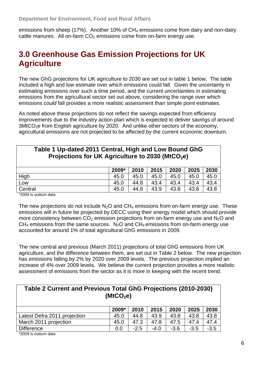<span id="page-5-0"></span>emissions from sheep (17%). Another 10% of  $CH_4$  emissions come from dairy and non-dairy cattle manures. All on-farm  $CO<sub>2</sub>$  emissions come from on-farm energy use.

## **3.0 Greenhouse Gas Emission Projections for UK Agriculture**

The new GhG projections for UK agriculture to 2030 are set out in table 1 below. The table included a high and low estimate over which emissions could fall. Given the uncertainty in estimating emissions over such a time period, and the current uncertainties in estimating emissions from the agricultural sector set out above, considering the range over which emissions *could* fall provides a more realistic assessment than simple point estimates.

As noted above these projections do not reflect the savings expected from efficiency improvements due to the industry action plan which is expected to deliver savings of around  $3$ MtCO<sub>2</sub>e from English agriculture by 2020. And unlike other sectors of the economy, agricultural emissions are not projected to be affected by the current economic downturn.

| Table 1 Up-dated 2011 Central, High and Low Bound GhG<br>Projections for UK Agriculture to 2030 (MtCO <sub>2</sub> e) |       |      |      |      |      |      |  |  |  |  |
|-----------------------------------------------------------------------------------------------------------------------|-------|------|------|------|------|------|--|--|--|--|
|                                                                                                                       | 2009* | 2010 | 2015 | 2020 | 2025 | 2030 |  |  |  |  |
| High                                                                                                                  | 45.0  | 45.0 | 45.0 | 45.0 | 45.0 | 45.0 |  |  |  |  |
| Low                                                                                                                   | 45.0  | 44.8 | 43.4 | 43.4 | 43.4 | 43.4 |  |  |  |  |
| Central                                                                                                               | 45.0  | 44.8 | 43.9 | 43.8 | 43.8 | 43.8 |  |  |  |  |

\*2009 is outturn data

The new projections do not include  $N_2O$  and  $CH_4$  emissions from on-farm energy use. These emissions will in future be projected by DECC using their energy model which should provide more consistency between  $CO<sub>2</sub>$  emission projections from on-farm energy use and  $N<sub>2</sub>O$  and  $CH<sub>4</sub>$  emissions from the same sources. N<sub>2</sub>O and CH<sub>4</sub> emissions from on-farm energy use accounted for around 1% of total agricultural GhG emissions in 2009.

The new central and previous (March 2011) projections of total GhG emissions from UK agriculture, and the difference between them, are set out in Table 2 below. The new projection has emissions falling by 2% by 2020 over 2009 levels. The previous projection implied an increase of 4% over 2009 levels. We believe the current projection provides a more realistic assessment of emissions from the sector as it is more in keeping with the recent trend.

| Table 2 Current and Previous Total GhG Projections (2010-2030)<br>(MtCO <sub>2</sub> e) |       |        |        |        |        |        |  |  |  |  |
|-----------------------------------------------------------------------------------------|-------|--------|--------|--------|--------|--------|--|--|--|--|
|                                                                                         | 2009* | 2010   | 2015   | 2020   | 2025   | 2030   |  |  |  |  |
| Latest Defra 2011 projection                                                            | 45.0  | 44.8   | 43.9   | 43.8   | 43.8   | 43.8   |  |  |  |  |
| March 2011 projection                                                                   | 45.0  | 47.3   | 47.8   | 47.5   | 47.4   | 47.4   |  |  |  |  |
| <b>Difference</b>                                                                       | 0.0   | $-2.5$ | $-4.0$ | $-3.6$ | $-3.5$ | $-3.5$ |  |  |  |  |
| $*2000$ is suffurn dota                                                                 |       |        |        |        |        |        |  |  |  |  |

\*2009 is outturn data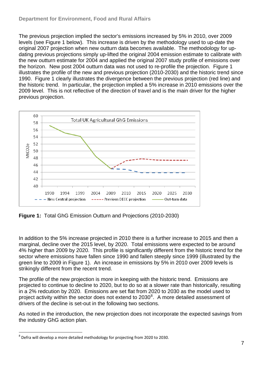The previous projection implied the sector's emissions increased by 5% in 2010, over 2009 levels (see Figure 1 below). This increase is driven by the methodology used to up-date the original 2007 projection when new outturn data becomes available. The methodology for updating previous projections simply up-lifted the original 2004 emission estimate to calibrate with the new outturn estimate for 2004 and applied the original 2007 study profile of emissions over the horizon. New post 2004 outturn data was not used to re-profile the projection. Figure 1 illustrates the profile of the new and previous projection (2010-2030) and the historic trend since 1990. Figure 1 clearly illustrates the divergence between the previous projection (red line) and the historic trend. In particular, the projection implied a 5% increase in 2010 emissions over the 2009 level. This is not reflective of the direction of travel and is the main driver for the higher previous projection.



**Figure 1:** Total GhG Emission Outturn and Projections (2010-2030)

In addition to the 5% increase projected in 2010 there is a further increase to 2015 and then a marginal, decline over the 2015 level, by 2020. Total emissions were expected to be around 4% higher than 2009 by 2020. This profile is significantly different from the historic trend for the sector where emissions have fallen since 1990 and fallen steeply since 1999 (illustrated by the green line to 2009 in Figure 1). An increase in emissions by 5% in 2010 over 2009 levels is strikingly different from the recent trend.

The profile of the new projection is more in keeping with the historic trend. Emissions are projected to continue to decline to 2020, but to do so at a slower rate than historically, resulting in a 2% redcution by 2020. Emissions are set flat from 2020 to 2030 as the model used to project activity within the sector does not extend to  $2030^8$  $2030^8$ . A more detailed assessment of drivers of the decline is set-out in the following two sections.

As noted in the introduction, the new projection does not incorporate the expected savings from the industry GhG action plan.

<span id="page-6-0"></span><sup>&</sup>lt;sup>8</sup> Defra will develop a more detailed methodology for projecting from 2020 to 2030.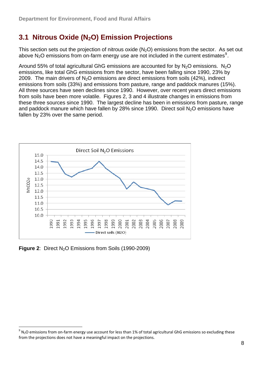### <span id="page-7-0"></span>**3.1 Nitrous Oxide (N2O) Emission Projections**

This section sets out the projection of nitrous oxide  $(N_2O)$  emissions from the sector. As set out above  $N_2O$  emissions from on-farm energy use are not included in the current estimates<sup>[9](#page-7-1)</sup>.

Around 55% of total agricultural GhG emissions are accounted for by  $N_2O$  emissions. N<sub>2</sub>O emissions, like total GhG emissions from the sector, have been falling since 1990, 23% by 2009. The main drivers of  $N_2O$  emissions are direct emissions from soils (42%), indirect emissions from soils (33%) and emissions from pasture, range and paddock manures (15%). All three sources have seen declines since 1990. However, over recent years direct emissions from soils have been more volatile. Figures 2, 3 and 4 illustrate changes in emissions from these three sources since 1990. The largest decline has been in emissions from pasture, range and paddock manure which have fallen by 28% since 1990. Direct soil  $N<sub>2</sub>O$  emissions have fallen by 23% over the same period.



**Figure 2:** Direct N<sub>2</sub>O Emissions from Soils (1990-2009)

<span id="page-7-1"></span> $9$  N<sub>2</sub>O emissions from on-farm energy use account for less than 1% of total agricultural GhG emissions so excluding these from the projections does not have a meaningful impact on the projections.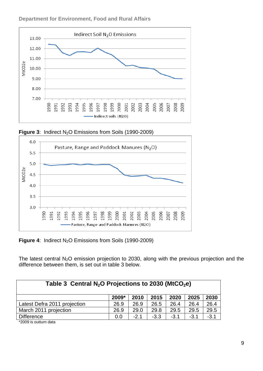

#### **Department for Environment, Food and Rural Affairs**





**Figure 4:** Indirect N<sub>2</sub>O Emissions from Soils (1990-2009)

The latest central  $N_2O$  emission projection to 2030, along with the previous projection and the difference between them, is set out in table 3 below.

| Table 3 Central $N_2O$ Projections to 2030 (MtCO <sub>2</sub> e) |       |        |        |        |        |        |  |  |  |  |
|------------------------------------------------------------------|-------|--------|--------|--------|--------|--------|--|--|--|--|
|                                                                  |       |        |        |        |        |        |  |  |  |  |
|                                                                  | 2009* | 2010   | 2015   | 2020   | 2025   | 2030   |  |  |  |  |
| Latest Defra 2011 projection                                     | 26.9  | 26.9   | 26.5   | 26.4   | 26.4   | 26.4   |  |  |  |  |
| March 2011 projection                                            | 26.9  | 29.0   | 29.8   | 29.5   | 29.5   | 29.5   |  |  |  |  |
| <b>Difference</b>                                                | 0.0   | $-2.1$ | $-3.3$ | $-3.1$ | $-3.1$ | $-3.1$ |  |  |  |  |

\*2009 is outturn data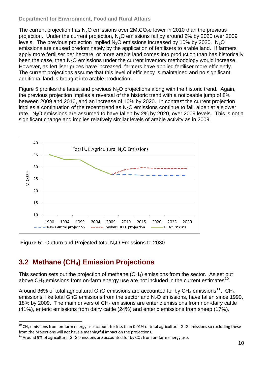#### <span id="page-9-0"></span>**Department for Environment, Food and Rural Affairs**

The current projection has  $N_2O$  emissions over 2MtCO<sub>2</sub>e lower in 2010 than the previous projection. Under the current projection, N2O emissions fall by around 2% by 2020 over 2009 levels. The previous projection implied  $N_2O$  emissions increased by 10% by 2020. N<sub>2</sub>O emissions are caused predominately by the application of fertilisers to arable land. If farmers apply more fertiliser per hectare, or more arable land comes into production than has historically been the case, then N<sub>2</sub>O emissions under the current inventory methodology would increase. However, as fertiliser prices have increased, farmers have applied fertiliser more efficiently. The current projections assume that this level of efficiency is maintained and no significant additional land is brought into arable production.

Figure 5 profiles the latest and previous  $N<sub>2</sub>O$  projections along with the historic trend. Again, the previous projection implies a reversal of the historic trend with a noticeable jump of 8% between 2009 and 2010, and an increase of 10% by 2020. In contrast the current projection implies a continuation of the recent trend as  $N<sub>2</sub>O$  emissions continue to fall, albeit at a slower rate.  $N<sub>2</sub>O$  emissions are assumed to have fallen by 2% by 2020, over 2009 levels. This is not a significant change and implies relatively similar levels of arable activity as in 2009.



**Figure 5:** Outturn and Projected total N<sub>2</sub>O Emissions to 2030

### **3.2 Methane (CH4) Emission Projections**

 $\overline{a}$ 

This section sets out the projection of methane (CH4) emissions from the sector. As set out above  $CH_4$  emissions from on-farm energy use are not included in the current estimates<sup>[10](#page-9-1)</sup>.

Around 36% of total agricultural GhG emissions are accounted for by  $CH_4$  emissions<sup>[11](#page-9-2)</sup>. CH<sub>4</sub> emissions, like total GhG emissions from the sector and N<sub>2</sub>O emissions, have fallen since 1990, 18% by 2009. The main drivers of  $CH<sub>4</sub>$  emissions are enteric emissions from non-dairy cattle (41%), enteric emissions from dairy cattle (24%) and enteric emissions from sheep (17%).

<span id="page-9-1"></span> $10$  CH<sub>4</sub> emissions from on-farm energy use account for less than 0.01% of total agricultural GhG emissions so excluding these from the projections will not have a meaningful impact on the projections.

<span id="page-9-2"></span><sup>&</sup>lt;sup>11</sup> Around 9% of agricultural GhG emissions are accounted for by CO<sub>2</sub> from on-farm energy use.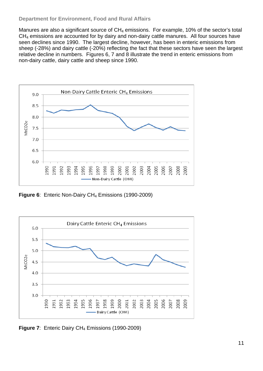#### **Department for Environment, Food and Rural Affairs**

sheep (-28%) and dairy cattle (-20%) reflecting the fact that these sectors have seen the largest relative decline in numbers. Figures 6, 7 and 8 illustrate the trend in enteric emissions from Manures are also a significant source of  $CH_4$  emissions. For example, 10% of the sector's total CH4 emissions are accounted for by dairy and non-dairy cattle manures. All four sources have seen declines since 1990. The largest decline, however, has been in enteric emissions from non-dairy cattle, dairy cattle and sheep since 1990.



**Figure 6**: Enteric Non-Dairy CH<sub>4</sub> Emissions (1990-2009)



**Figure 7**: Enteric Dairy CH<sub>4</sub> Emissions (1990-2009)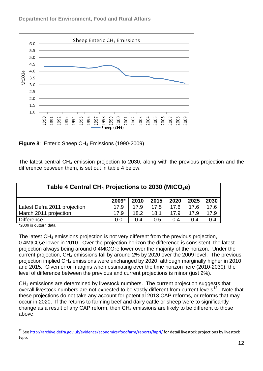



**Figure 8**: Enteric Sheep CH<sub>4</sub> Emissions (1990-2009)

The latest central  $CH_4$  emission projection to 2030, along with the previous projection and the difference between them, is set out in table 4 below.

| Table 4 Central $CH_4$ Projections to 2030 (MtCO <sub>2</sub> e) |       |        |        |        |        |        |  |  |  |
|------------------------------------------------------------------|-------|--------|--------|--------|--------|--------|--|--|--|
|                                                                  | 2009* | 2010   | 2015   | 2020   | 2025   | 2030   |  |  |  |
| Latest Defra 2011 projection                                     | 17.9  | 17.9   | 17.5   | 17.6   | 17.6   | 17.6   |  |  |  |
| March 2011 projection                                            | 17.9  | 18.2   | 18.1   | 17.9   | 17.9   | 17.9   |  |  |  |
| <b>Difference</b>                                                | 0.0   | $-0.4$ | $-0.5$ | $-0.4$ | $-0.4$ | $-0.4$ |  |  |  |

\*2009 is outturn data

 $\overline{a}$ 

projection implied CH<sub>4</sub> emissions were unchanged by 2020, although marginally higher in 2010 and 2015. Given error margins when estimating over the time horizon here (2010-2030), the The latest CH4 emissions projection is not very different from the previous projection,  $0.4$ MtCO<sub>2</sub>e lower in 2010. Over the projection horizon the difference is consistent, the latest projection always being around  $0.4$ MtCO<sub>2</sub>e lower over the majority of the horizon. Under the current projection, CH4 emissions fall by around 2% by 2020 over the 2009 level. The previous level of difference between the previous and current projections is minor (just 2%).

overall livestock numbers are not expected to be vastly different from current levels<sup>[12](#page-11-0)</sup>. Note that these projections do not take any account for potential 2013 CAP reforms, or reforms that may change as a result of any CAP reform, then  $CH_4$  emissions are likely to be different to those CH4 emissions are determined by livestock numbers. The current projection suggests that occur in 2020. If the returns to farming beef and dairy cattle or sheep were to significantly above.

<span id="page-11-0"></span><sup>&</sup>lt;sup>12</sup> See <http://archive.defra.gov.uk/evidence/economics/foodfarm/reports/fapri/> for detail livestock projections by livestock type.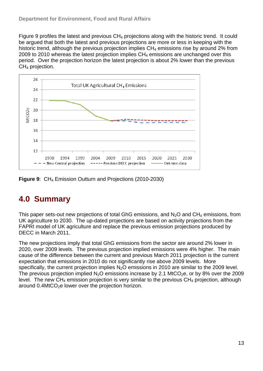<span id="page-12-0"></span>Figure 9 profiles the latest and previous  $CH_4$  projections along with the historic trend. It could historic trend, although the previous projection implies  $CH_4$  emissions rise by around 2% from period. Over the projection horizon the latest projection is about 2% lower than the previous  $CH<sub>4</sub>$  projection. be argued that both the latest and previous projections are more or less in keeping with the 2009 to 2010 whereas the latest projection implies  $CH<sub>4</sub>$  emissions are unchanged over this



Figure 9: CH<sub>4</sub> Emission Outturn and Projections (2010-2030)

# **4.0 Summary**

This paper sets-out new projections of total GhG emissions, and  $N_2O$  and CH<sub>4</sub> emissions, from FAPRI model of UK agriculture and replace the previous emission projections produced by UK agriculture to 2030. The up-dated projections are based on activity projections from the DECC in March 2011.

cause of the difference between the current and previous March 2011 projection is the current level. The new CH<sub>4</sub> emission projection is very similar to the previous CH<sub>4</sub> projection, although around  $0.4$ MtCO<sub>2</sub>e lower over the projection horizon. The new projections imply that total GhG emissions from the sector are around 2% lower in 2020, over 2009 levels. The previous projection implied emissions were 4% higher. The main expectation that emissions in 2010 do not significantly rise above 2009 levels. More specifically, the current projection implies N<sub>2</sub>O emissions in 2010 are similar to the 2009 level. The previous projection implied  $N_2O$  emissions increase by 2.1 MtCO<sub>2</sub>e, or by 8% over the 2009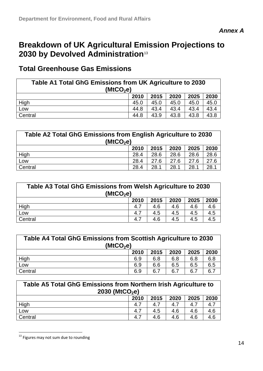## **Breakdown of UK Agricultural Em[is](#page-13-0)sion Projections to 2030 by Devolved Administration**[13](#page-13-0)

### **Total Greenhouse Gas Emissions**

| Table A1 Total GhG Emissions from UK Agriculture to 2030<br>(MtCO <sub>2</sub> e) |      |      |      |      |      |  |  |  |
|-----------------------------------------------------------------------------------|------|------|------|------|------|--|--|--|
|                                                                                   | 2010 | 2015 | 2020 | 2025 | 2030 |  |  |  |
| High                                                                              | 45.0 | 45.0 | 45.0 | 45.0 | 45.0 |  |  |  |
| Low                                                                               | 44.8 | 43.4 | 43.4 | 43.4 | 43.4 |  |  |  |
| Central                                                                           | 44.8 | 43.9 | 43.8 | 43.8 | 43.8 |  |  |  |

| Table A2 Total GhG Emissions from English Agriculture to 2030<br>(MtCO <sub>2</sub> e) |      |      |      |      |      |  |  |
|----------------------------------------------------------------------------------------|------|------|------|------|------|--|--|
|                                                                                        | 2010 | 2015 | 2020 | 2025 | 2030 |  |  |
| $\frac{High}{Low}$                                                                     | 28.4 | 28.6 | 28.6 | 28.6 | 28.6 |  |  |
|                                                                                        | 28.4 | 27.6 | 27.6 | 27.6 | 27.6 |  |  |
| Central                                                                                | 28.4 | 28.1 | 28.1 | 28.1 | 28.1 |  |  |

| Table A3 Total GhG Emissions from Welsh Agriculture to 2030<br>(MtCO <sub>2</sub> e) |      |      |      |      |      |  |  |  |  |
|--------------------------------------------------------------------------------------|------|------|------|------|------|--|--|--|--|
|                                                                                      | 2010 | 2015 | 2020 | 2025 | 2030 |  |  |  |  |
| High                                                                                 | 4.7  | 4.6  | 4.6  | 4.6  | 4.6  |  |  |  |  |
| Low                                                                                  | 4.7  | 4.5  | 4.5  | 4.5  | 4.5  |  |  |  |  |
| Central                                                                              | 4.7  | 4.6  | 4.5  | 4.5  | 4.5  |  |  |  |  |

| Table A4 Total GhG Emissions from Scottish Agriculture to 2030<br>(MtCO <sub>2</sub> e) |      |      |      |      |      |  |  |  |
|-----------------------------------------------------------------------------------------|------|------|------|------|------|--|--|--|
|                                                                                         | 2010 | 2015 | 2020 | 2025 | 2030 |  |  |  |
| High                                                                                    | 6.9  | 6.8  | 6.8  | 6.8  | 6.8  |  |  |  |
| Low                                                                                     | 6.9  | 6.6  | 6.5  | 6.5  | 6.5  |  |  |  |
| Central                                                                                 | 6.9  | 6.7  | 6.7  | 6.7  | 6.7  |  |  |  |

| Table A5 Total GhG Emissions from Northern Irish Agriculture to<br>2030 (MtCO <sub>2</sub> e) |      |      |      |      |      |  |  |
|-----------------------------------------------------------------------------------------------|------|------|------|------|------|--|--|
|                                                                                               | 2010 | 2015 | 2020 | 2025 | 2030 |  |  |
| High                                                                                          | 4.7  | 4.7  | 4.7  | 4.7  | 4.7  |  |  |
| Low                                                                                           | 4.7  | 4.5  | 4.6  | 4.6  | 4.6  |  |  |
| Central                                                                                       | 4.7  | 4.6  | 4.6  | 4.6  | 4.6  |  |  |

<span id="page-13-0"></span><sup>&</sup>lt;sup>13</sup> Figures may not sum due to rounding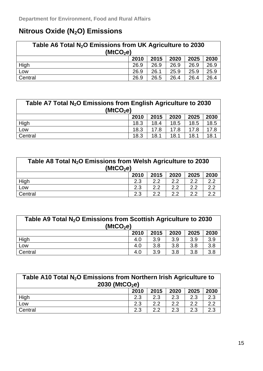## **Nitrous Oxide (N2O) Emissions**

| Table A6 Total $N_2O$ Emissions from UK Agriculture to 2030<br>(MtCO <sub>2</sub> e) |      |      |      |      |      |  |  |
|--------------------------------------------------------------------------------------|------|------|------|------|------|--|--|
|                                                                                      | 2010 | 2015 | 2020 | 2025 | 2030 |  |  |
| High                                                                                 | 26.9 | 26.9 | 26.9 | 26.9 | 26.9 |  |  |
| Low                                                                                  | 26.9 | 26.1 | 25.9 | 25.9 | 25.9 |  |  |
| Central                                                                              | 26.9 | 26.5 | 26.4 | 26.4 | 26.4 |  |  |

| Table A7 Total $N_2O$ Emissions from English Agriculture to 2030<br>(MtCO <sub>2</sub> e) |      |      |      |      |      |  |  |
|-------------------------------------------------------------------------------------------|------|------|------|------|------|--|--|
|                                                                                           | 2010 | 2015 | 2020 | 2025 | 2030 |  |  |
| High                                                                                      | 18.3 | 18.4 | 18.5 | 18.5 | 18.5 |  |  |
| Low                                                                                       | 18.3 | 17.8 | 17.8 | 17.8 | 17.8 |  |  |
| Central                                                                                   | 18.3 | 18.1 | 18.1 | 18.1 | 18.1 |  |  |

| Table A8 Total N <sub>2</sub> O Emissions from Welsh Agriculture to 2030<br>(MtCO <sub>2</sub> e) |      |               |      |      |      |
|---------------------------------------------------------------------------------------------------|------|---------------|------|------|------|
|                                                                                                   | 2010 | 2015          | 2020 | 2025 | 2030 |
| High                                                                                              | 2.3  | 2.2           | 2.2  | 2.2  | 2.2  |
| Low                                                                                               | 2.3  | $2.2^{\circ}$ | 2.2  | 2.2  | 2.2  |
| Central                                                                                           | 2.3  | 22            | 22   | つつ   | 22   |

| Table A9 Total N <sub>2</sub> O Emissions from Scottish Agriculture to 2030<br>(MtCO <sub>2</sub> e) |      |      |      |      |      |
|------------------------------------------------------------------------------------------------------|------|------|------|------|------|
|                                                                                                      | 2010 | 2015 | 2020 | 2025 | 2030 |
| High<br>Low                                                                                          | 4.0  | 3.9  | 3.9  | 3.9  | 3.9  |
|                                                                                                      | 4.0  | 3.8  | 3.8  | 3.8  | 3.8  |
| Central                                                                                              | 4.0  | 3.9  | 3.8  | 3.8  | 3.8  |

| Table A10 Total N <sub>2</sub> O Emissions from Northern Irish Agriculture to<br>2030 (MtCO <sub>2</sub> e) |      |      |      |      |      |
|-------------------------------------------------------------------------------------------------------------|------|------|------|------|------|
|                                                                                                             | 2010 | 2015 | 2020 | 2025 | 2030 |
| High                                                                                                        | 2.3  | 2.3  | 2.3  | 2.3  | 2.3  |
| Low                                                                                                         | 2.3  | 2.2  | 22   | 2.2  | 2.2  |
| Central                                                                                                     | 2.3  | 22   | 2.3  | 2.3  | 2.3  |